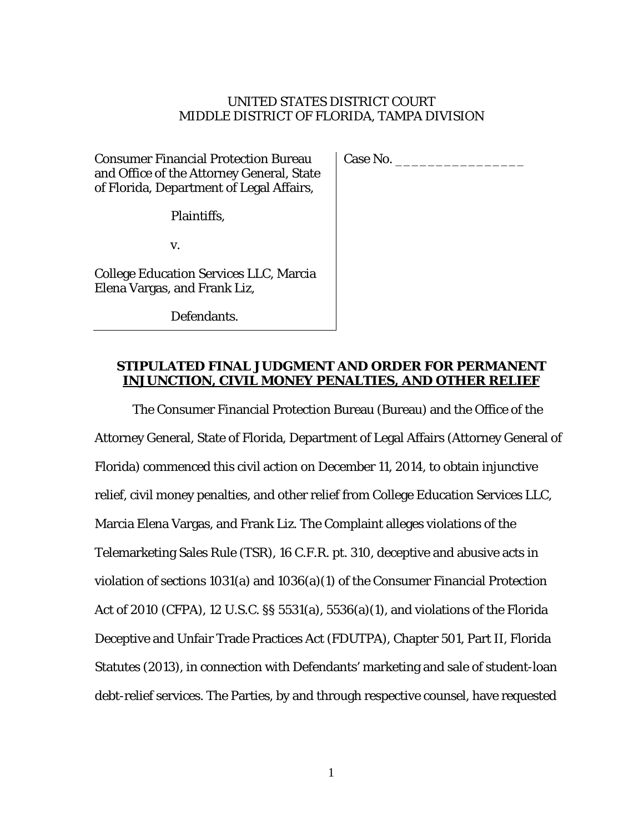### UNITED STATES DISTRICT COURT MIDDLE DISTRICT OF FLORIDA, TAMPA DIVISION

Consumer Financial Protection Bureau and Office of the Attorney General, State of Florida, Department of Legal Affairs,

Plaintiffs,

v.

College Education Services LLC, Marcia Elena Vargas, and Frank Liz,

Defendants.

Case No. \_\_\_\_\_\_\_\_\_\_\_\_\_\_\_\_

# **STIPULATED FINAL JUDGMENT AND ORDER FOR PERMANENT INJUNCTION, CIVIL MONEY PENALTIES, AND OTHER RELIEF**

The Consumer Financial Protection Bureau (Bureau) and the Office of the Attorney General, State of Florida, Department of Legal Affairs (Attorney General of Florida) commenced this civil action on December 11, 2014, to obtain injunctive relief, civil money penalties, and other relief from College Education Services LLC, Marcia Elena Vargas, and Frank Liz. The Complaint alleges violations of the Telemarketing Sales Rule (TSR), 16 C.F.R. pt. 310, deceptive and abusive acts in violation of sections 1031(a) and 1036(a)(1) of the Consumer Financial Protection Act of 2010 (CFPA), 12 U.S.C. §§ 5531(a), 5536(a)(1), and violations of the Florida Deceptive and Unfair Trade Practices Act (FDUTPA), Chapter 501, Part II, Florida Statutes (2013), in connection with Defendants' marketing and sale of student-loan debt-relief services. The Parties, by and through respective counsel, have requested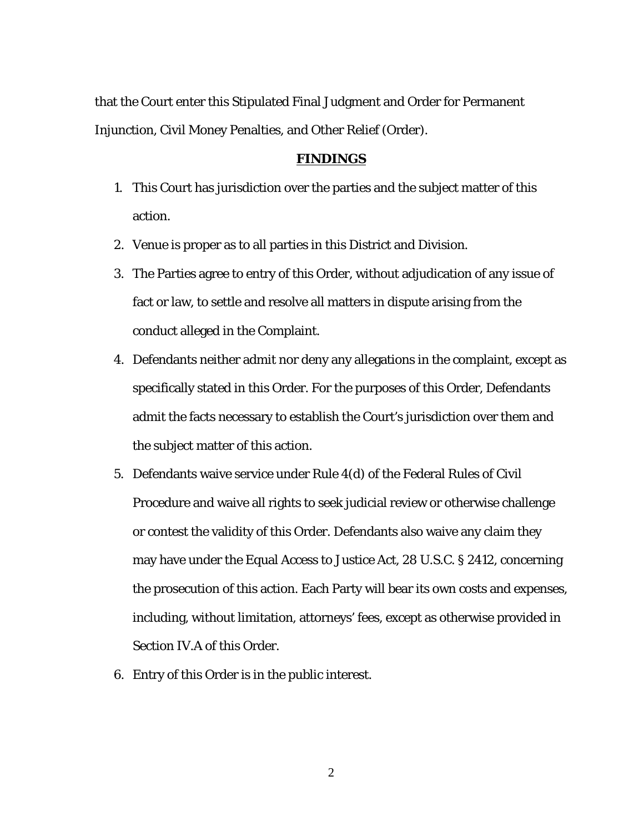that the Court enter this Stipulated Final Judgment and Order for Permanent Injunction, Civil Money Penalties, and Other Relief (Order).

### **FINDINGS**

- 1. This Court has jurisdiction over the parties and the subject matter of this action.
- 2. Venue is proper as to all parties in this District and Division.
- 3. The Parties agree to entry of this Order, without adjudication of any issue of fact or law, to settle and resolve all matters in dispute arising from the conduct alleged in the Complaint.
- 4. Defendants neither admit nor deny any allegations in the complaint, except as specifically stated in this Order. For the purposes of this Order, Defendants admit the facts necessary to establish the Court's jurisdiction over them and the subject matter of this action.
- 5. Defendants waive service under Rule 4(d) of the Federal Rules of Civil Procedure and waive all rights to seek judicial review or otherwise challenge or contest the validity of this Order. Defendants also waive any claim they may have under the Equal Access to Justice Act, 28 U.S.C. § 2412, concerning the prosecution of this action. Each Party will bear its own costs and expenses, including, without limitation, attorneys' fees, except as otherwise provided in Section IV.A of this Order.
- 6. Entry of this Order is in the public interest.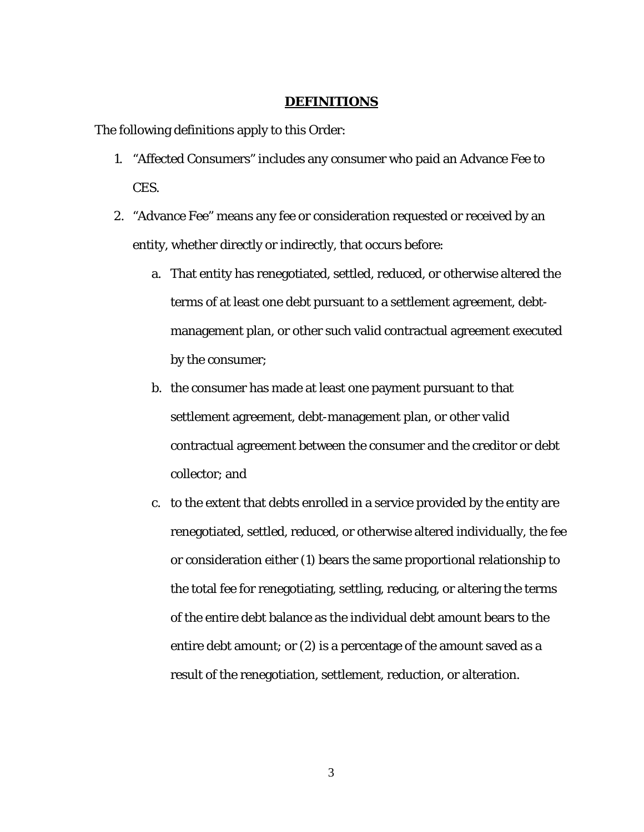#### **DEFINITIONS**

The following definitions apply to this Order:

- 1. "Affected Consumers" includes any consumer who paid an Advance Fee to CES.
- 2. "Advance Fee" means any fee or consideration requested or received by an entity, whether directly or indirectly, that occurs before:
	- a. That entity has renegotiated, settled, reduced, or otherwise altered the terms of at least one debt pursuant to a settlement agreement, debtmanagement plan, or other such valid contractual agreement executed by the consumer;
	- b. the consumer has made at least one payment pursuant to that settlement agreement, debt-management plan, or other valid contractual agreement between the consumer and the creditor or debt collector; and
	- c. to the extent that debts enrolled in a service provided by the entity are renegotiated, settled, reduced, or otherwise altered individually, the fee or consideration either (1) bears the same proportional relationship to the total fee for renegotiating, settling, reducing, or altering the terms of the entire debt balance as the individual debt amount bears to the entire debt amount; or (2) is a percentage of the amount saved as a result of the renegotiation, settlement, reduction, or alteration.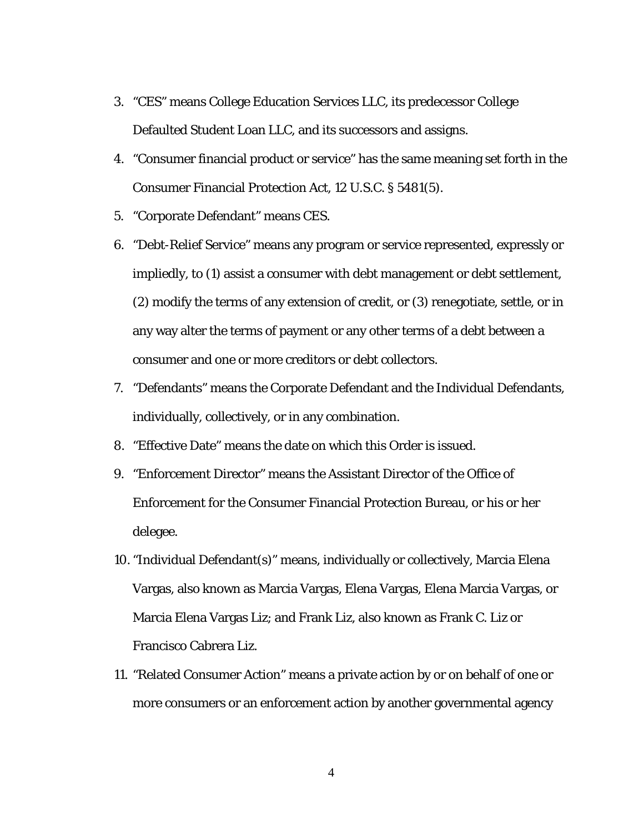- 3. "CES" means College Education Services LLC, its predecessor College Defaulted Student Loan LLC, and its successors and assigns.
- 4. "Consumer financial product or service" has the same meaning set forth in the Consumer Financial Protection Act, 12 U.S.C. § 5481(5).
- 5. "Corporate Defendant" means CES.
- 6. "Debt-Relief Service" means any program or service represented, expressly or impliedly, to (1) assist a consumer with debt management or debt settlement, (2) modify the terms of any extension of credit, or (3) renegotiate, settle, or in any way alter the terms of payment or any other terms of a debt between a consumer and one or more creditors or debt collectors.
- 7. "Defendants" means the Corporate Defendant and the Individual Defendants, individually, collectively, or in any combination.
- 8. "Effective Date" means the date on which this Order is issued.
- 9. "Enforcement Director" means the Assistant Director of the Office of Enforcement for the Consumer Financial Protection Bureau, or his or her delegee.
- 10. "Individual Defendant(s)" means, individually or collectively, Marcia Elena Vargas, also known as Marcia Vargas, Elena Vargas, Elena Marcia Vargas, or Marcia Elena Vargas Liz; and Frank Liz, also known as Frank C. Liz or Francisco Cabrera Liz.
- 11. "Related Consumer Action" means a private action by or on behalf of one or more consumers or an enforcement action by another governmental agency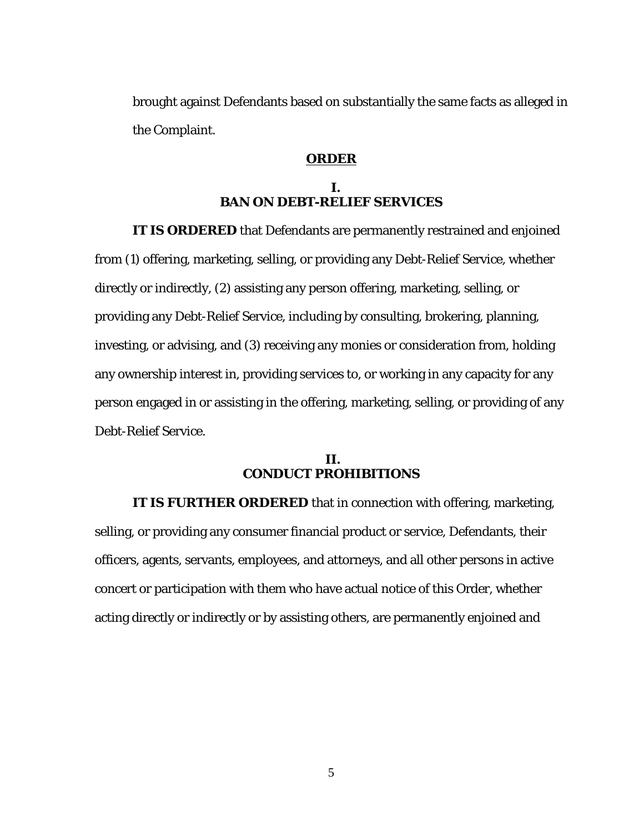brought against Defendants based on substantially the same facts as alleged in the Complaint.

### **ORDER**

# **I. BAN ON DEBT-RELIEF SERVICES**

**IT IS ORDERED** that Defendants are permanently restrained and enjoined from (1) offering, marketing, selling, or providing any Debt-Relief Service, whether directly or indirectly, (2) assisting any person offering, marketing, selling, or providing any Debt-Relief Service, including by consulting, brokering, planning, investing, or advising, and (3) receiving any monies or consideration from, holding any ownership interest in, providing services to, or working in any capacity for any person engaged in or assisting in the offering, marketing, selling, or providing of any Debt-Relief Service.

#### **II. CONDUCT PROHIBITIONS**

**IT IS FURTHER ORDERED** that in connection with offering, marketing, selling, or providing any consumer financial product or service, Defendants, their officers, agents, servants, employees, and attorneys, and all other persons in active concert or participation with them who have actual notice of this Order, whether acting directly or indirectly or by assisting others, are permanently enjoined and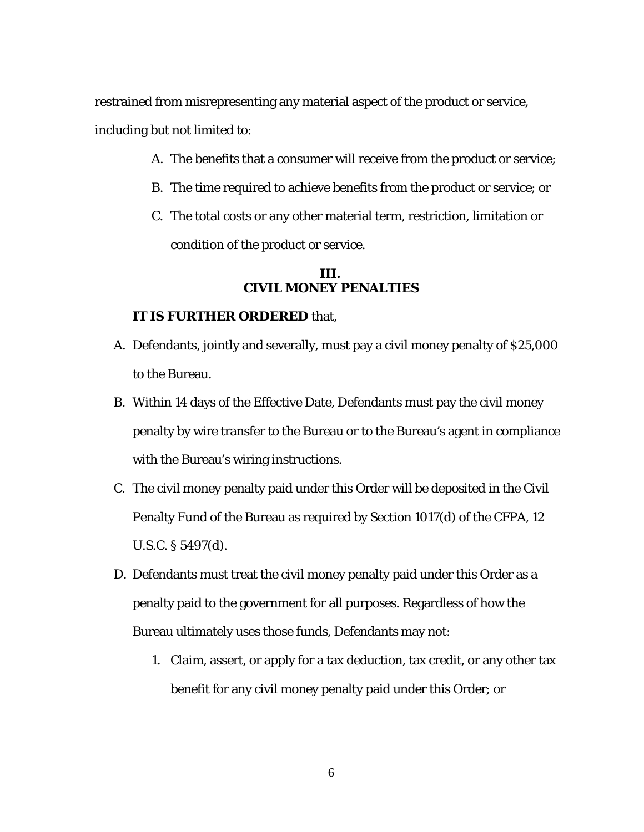restrained from misrepresenting any material aspect of the product or service, including but not limited to:

- A. The benefits that a consumer will receive from the product or service;
- B. The time required to achieve benefits from the product or service; or
- C. The total costs or any other material term, restriction, limitation or condition of the product or service.

# **III. CIVIL MONEY PENALTIES**

#### **IT IS FURTHER ORDERED** that,

- A. Defendants, jointly and severally, must pay a civil money penalty of \$25,000 to the Bureau.
- B. Within 14 days of the Effective Date, Defendants must pay the civil money penalty by wire transfer to the Bureau or to the Bureau's agent in compliance with the Bureau's wiring instructions.
- C. The civil money penalty paid under this Order will be deposited in the Civil Penalty Fund of the Bureau as required by Section 1017(d) of the CFPA, 12 U.S.C. § 5497(d).
- D. Defendants must treat the civil money penalty paid under this Order as a penalty paid to the government for all purposes. Regardless of how the Bureau ultimately uses those funds, Defendants may not:
	- 1. Claim, assert, or apply for a tax deduction, tax credit, or any other tax benefit for any civil money penalty paid under this Order; or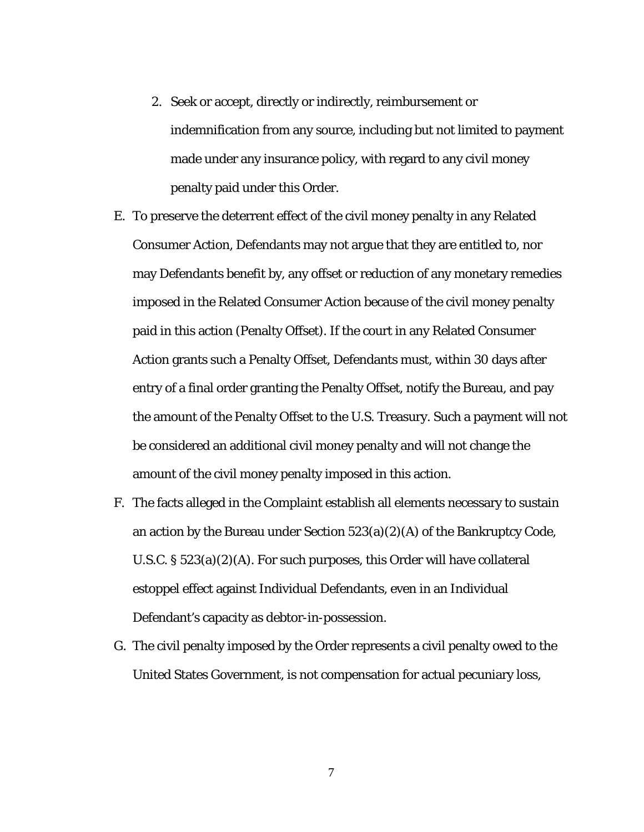- 2. Seek or accept, directly or indirectly, reimbursement or indemnification from any source, including but not limited to payment made under any insurance policy, with regard to any civil money penalty paid under this Order.
- E. To preserve the deterrent effect of the civil money penalty in any Related Consumer Action, Defendants may not argue that they are entitled to, nor may Defendants benefit by, any offset or reduction of any monetary remedies imposed in the Related Consumer Action because of the civil money penalty paid in this action (Penalty Offset). If the court in any Related Consumer Action grants such a Penalty Offset, Defendants must, within 30 days after entry of a final order granting the Penalty Offset, notify the Bureau, and pay the amount of the Penalty Offset to the U.S. Treasury. Such a payment will not be considered an additional civil money penalty and will not change the amount of the civil money penalty imposed in this action.
- F. The facts alleged in the Complaint establish all elements necessary to sustain an action by the Bureau under Section 523(a)(2)(A) of the Bankruptcy Code, U.S.C. § 523(a)(2)(A). For such purposes, this Order will have collateral estoppel effect against Individual Defendants, even in an Individual Defendant's capacity as debtor-in-possession.
- G. The civil penalty imposed by the Order represents a civil penalty owed to the United States Government, is not compensation for actual pecuniary loss,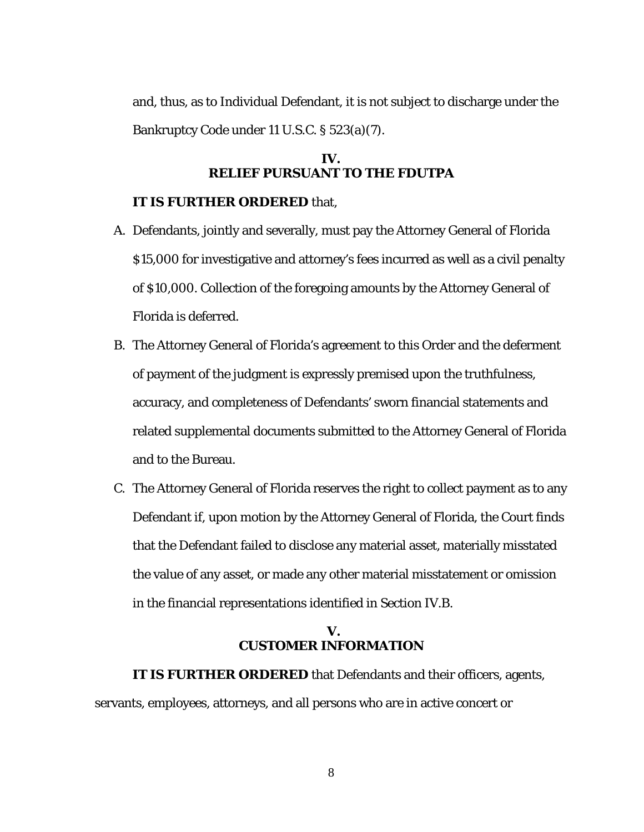and, thus, as to Individual Defendant, it is not subject to discharge under the Bankruptcy Code under 11 U.S.C. § 523(a)(7).

# **IV. RELIEF PURSUANT TO THE FDUTPA**

### **IT IS FURTHER ORDERED** that,

- A. Defendants, jointly and severally, must pay the Attorney General of Florida \$15,000 for investigative and attorney's fees incurred as well as a civil penalty of \$10,000. Collection of the foregoing amounts by the Attorney General of Florida is deferred.
- B. The Attorney General of Florida's agreement to this Order and the deferment of payment of the judgment is expressly premised upon the truthfulness, accuracy, and completeness of Defendants' sworn financial statements and related supplemental documents submitted to the Attorney General of Florida and to the Bureau.
- C. The Attorney General of Florida reserves the right to collect payment as to any Defendant if, upon motion by the Attorney General of Florida, the Court finds that the Defendant failed to disclose any material asset, materially misstated the value of any asset, or made any other material misstatement or omission in the financial representations identified in Section IV.B.

# **V. CUSTOMER INFORMATION**

**IT IS FURTHER ORDERED** that Defendants and their officers, agents, servants, employees, attorneys, and all persons who are in active concert or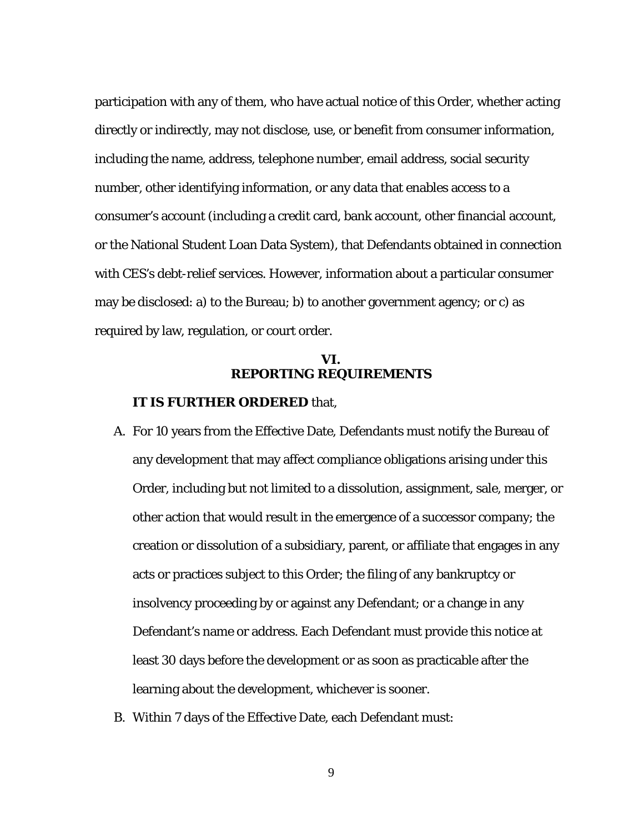participation with any of them, who have actual notice of this Order, whether acting directly or indirectly, may not disclose, use, or benefit from consumer information, including the name, address, telephone number, email address, social security number, other identifying information, or any data that enables access to a consumer's account (including a credit card, bank account, other financial account, or the National Student Loan Data System), that Defendants obtained in connection with CES's debt-relief services. However, information about a particular consumer may be disclosed: a) to the Bureau; b) to another government agency; or c) as required by law, regulation, or court order.

### **VI. REPORTING REQUIREMENTS**

#### **IT IS FURTHER ORDERED** that,

- A. For 10 years from the Effective Date, Defendants must notify the Bureau of any development that may affect compliance obligations arising under this Order, including but not limited to a dissolution, assignment, sale, merger, or other action that would result in the emergence of a successor company; the creation or dissolution of a subsidiary, parent, or affiliate that engages in any acts or practices subject to this Order; the filing of any bankruptcy or insolvency proceeding by or against any Defendant; or a change in any Defendant's name or address. Each Defendant must provide this notice at least 30 days before the development or as soon as practicable after the learning about the development, whichever is sooner.
- B. Within 7 days of the Effective Date, each Defendant must: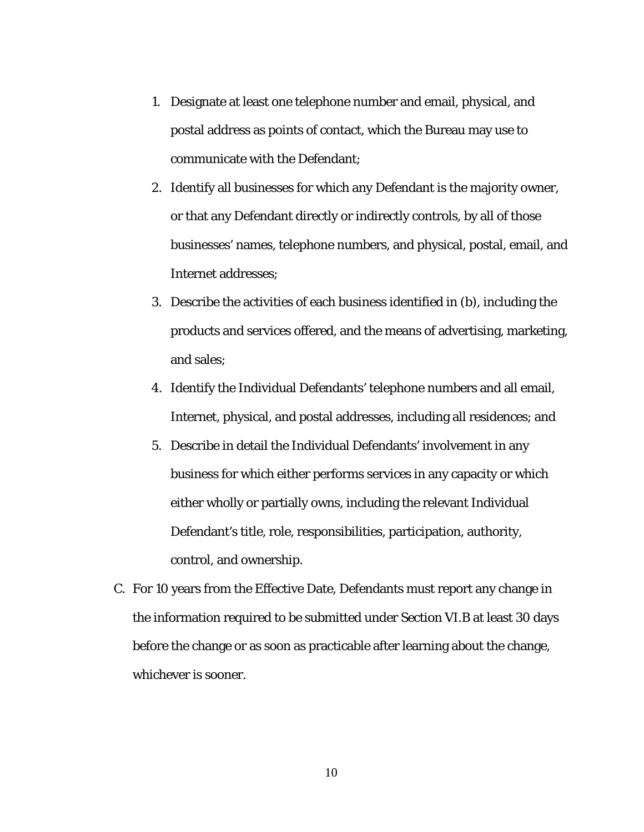- 1. Designate at least one telephone number and email, physical, and postal address as points of contact, which the Bureau may use to communicate with the Defendant;
- 2. Identify all businesses for which any Defendant is the majority owner, or that any Defendant directly or indirectly controls, by all of those businesses' names, telephone numbers, and physical, postal, email, and Internet addresses;
- 3. Describe the activities of each business identified in (b), including the products and services offered, and the means of advertising, marketing, and sales;
- 4. Identify the Individual Defendants' telephone numbers and all email, Internet, physical, and postal addresses, including all residences; and
- 5. Describe in detail the Individual Defendants' involvement in any business for which either performs services in any capacity or which either wholly or partially owns, including the relevant Individual Defendant's title, role, responsibilities, participation, authority, control, and ownership.
- C. For 10 years from the Effective Date, Defendants must report any change in the information required to be submitted under Section VI.B at least 30 days before the change or as soon as practicable after learning about the change, whichever is sooner.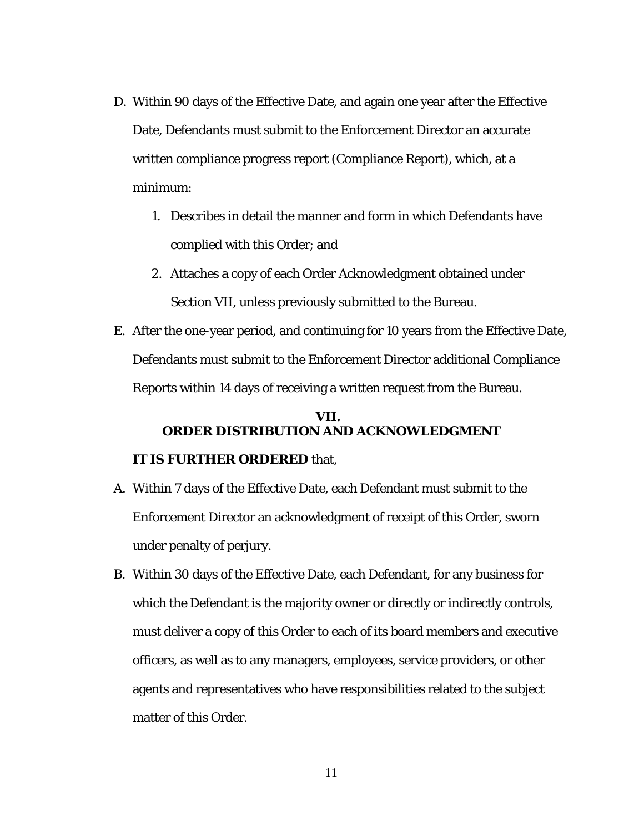- D. Within 90 days of the Effective Date, and again one year after the Effective Date, Defendants must submit to the Enforcement Director an accurate written compliance progress report (Compliance Report), which, at a minimum:
	- 1. Describes in detail the manner and form in which Defendants have complied with this Order; and
	- 2. Attaches a copy of each Order Acknowledgment obtained under Section VII, unless previously submitted to the Bureau.
- E. After the one-year period, and continuing for 10 years from the Effective Date, Defendants must submit to the Enforcement Director additional Compliance Reports within 14 days of receiving a written request from the Bureau.

# **VII. ORDER DISTRIBUTION AND ACKNOWLEDGMENT**

# **IT IS FURTHER ORDERED** that,

- A. Within 7 days of the Effective Date, each Defendant must submit to the Enforcement Director an acknowledgment of receipt of this Order, sworn under penalty of perjury.
- B. Within 30 days of the Effective Date, each Defendant, for any business for which the Defendant is the majority owner or directly or indirectly controls, must deliver a copy of this Order to each of its board members and executive officers, as well as to any managers, employees, service providers, or other agents and representatives who have responsibilities related to the subject matter of this Order.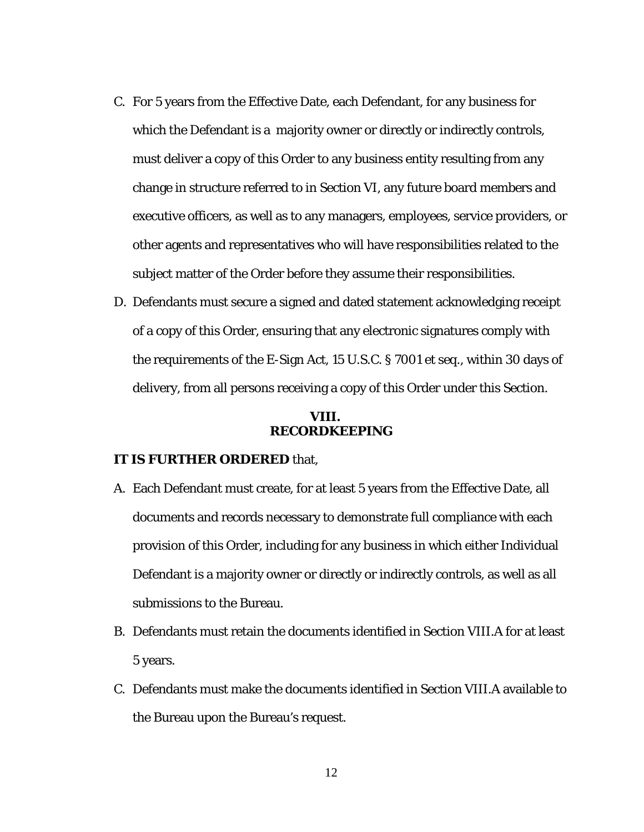- C. For 5 years from the Effective Date, each Defendant, for any business for which the Defendant is a majority owner or directly or indirectly controls, must deliver a copy of this Order to any business entity resulting from any change in structure referred to in Section VI, any future board members and executive officers, as well as to any managers, employees, service providers, or other agents and representatives who will have responsibilities related to the subject matter of the Order before they assume their responsibilities.
- D. Defendants must secure a signed and dated statement acknowledging receipt of a copy of this Order, ensuring that any electronic signatures comply with the requirements of the E-Sign Act, 15 U.S.C. § 7001 et seq., within 30 days of delivery, from all persons receiving a copy of this Order under this Section.

### **VIII. RECORDKEEPING**

### **IT IS FURTHER ORDERED** that,

- A. Each Defendant must create, for at least 5 years from the Effective Date, all documents and records necessary to demonstrate full compliance with each provision of this Order, including for any business in which either Individual Defendant is a majority owner or directly or indirectly controls, as well as all submissions to the Bureau.
- B. Defendants must retain the documents identified in Section VIII.A for at least 5 years.
- C. Defendants must make the documents identified in Section VIII.A available to the Bureau upon the Bureau's request.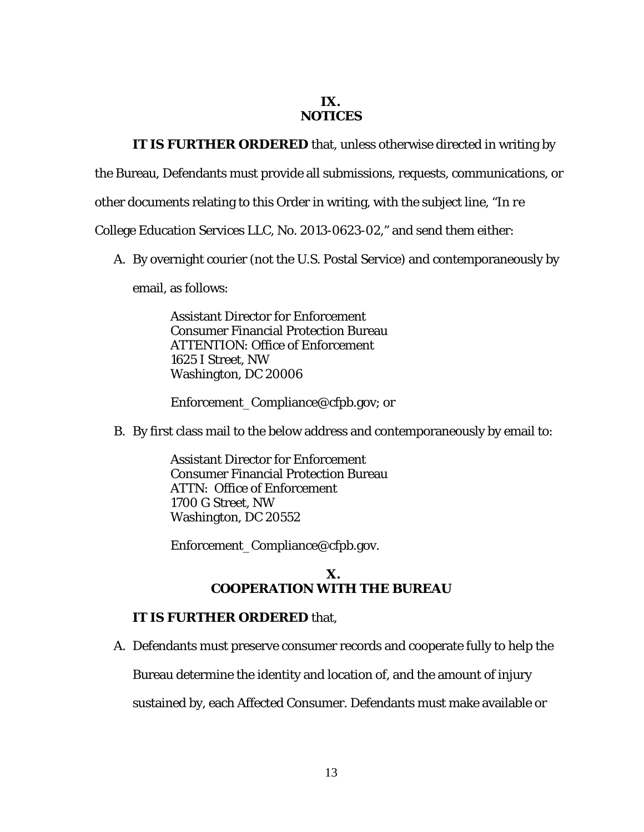### **IX. NOTICES**

# **IT IS FURTHER ORDERED** that, unless otherwise directed in writing by

the Bureau, Defendants must provide all submissions, requests, communications, or

other documents relating to this Order in writing, with the subject line, "*In re* 

College Education Services LLC, No. 2013-0623-02," and send them either:

A. By overnight courier (not the U.S. Postal Service) and contemporaneously by

email, as follows:

Assistant Director for Enforcement Consumer Financial Protection Bureau ATTENTION: Office of Enforcement 1625 I Street, NW Washington, DC 20006

Enforcement\_Compliance@cfpb.gov; or

B. By first class mail to the below address and contemporaneously by email to:

Assistant Director for Enforcement Consumer Financial Protection Bureau ATTN: Office of Enforcement 1700 G Street, NW Washington, DC 20552

Enforcement\_Compliance@cfpb.gov.

## **X. COOPERATION WITH THE BUREAU**

### **IT IS FURTHER ORDERED** that,

A. Defendants must preserve consumer records and cooperate fully to help the

Bureau determine the identity and location of, and the amount of injury

sustained by, each Affected Consumer. Defendants must make available or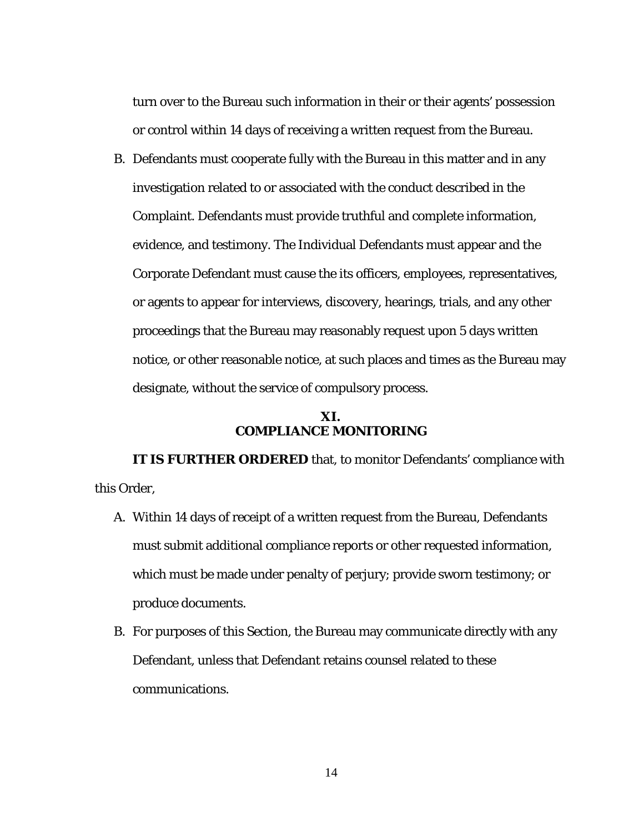turn over to the Bureau such information in their or their agents' possession or control within 14 days of receiving a written request from the Bureau.

B. Defendants must cooperate fully with the Bureau in this matter and in any investigation related to or associated with the conduct described in the Complaint. Defendants must provide truthful and complete information, evidence, and testimony. The Individual Defendants must appear and the Corporate Defendant must cause the its officers, employees, representatives, or agents to appear for interviews, discovery, hearings, trials, and any other proceedings that the Bureau may reasonably request upon 5 days written notice, or other reasonable notice, at such places and times as the Bureau may designate, without the service of compulsory process.

# **XI. COMPLIANCE MONITORING**

**IT IS FURTHER ORDERED** that, to monitor Defendants' compliance with this Order,

- A. Within 14 days of receipt of a written request from the Bureau, Defendants must submit additional compliance reports or other requested information, which must be made under penalty of perjury; provide sworn testimony; or produce documents.
- B. For purposes of this Section, the Bureau may communicate directly with any Defendant, unless that Defendant retains counsel related to these communications.